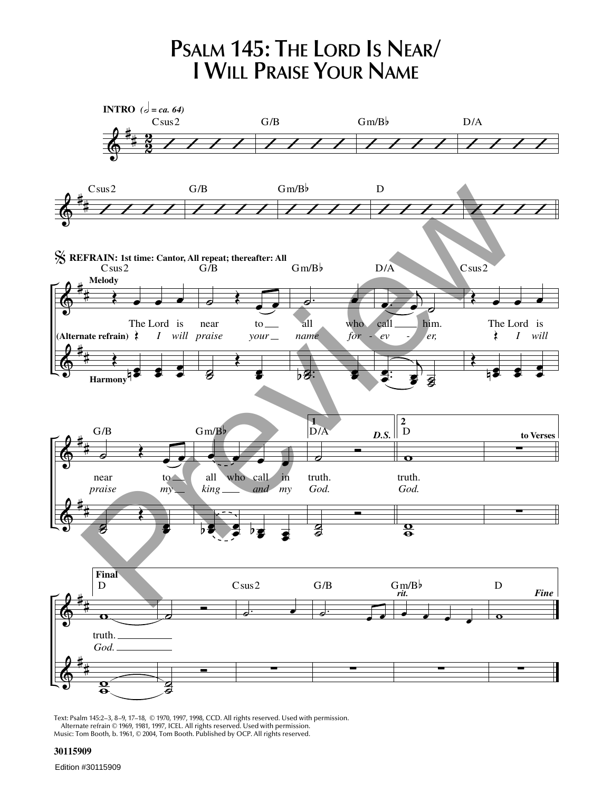**PSALM 145: THE LORD IS NEAR/ I WILL PRAISE YOUR NAME**



Text: Psalm 145:2–3, 8–9, 17–18, © 1970, 1997, 1998, CCD. All rights reserved. Used with permission. Alternate refrain © 1969, 1981, 1997, ICEL. All rights reserved. Used with permission. Music: Tom Booth, b. 1961, © 2004, Tom Booth. Published by OCP. All rights reserved.